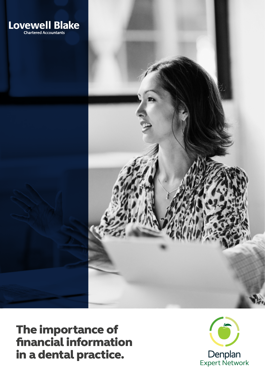



The importance of financial information in a dental practice.

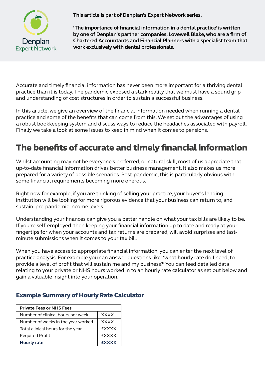

**This article is part of Denplan's Expert Network series.**

**'The importance of financial information in a dental practice' is written by one of Denplan's partner companies, Lovewell Blake, who are a firm of Chartered Accountants and Financial Planners with a specialist team that work exclusively with dental professionals.**

Accurate and timely financial information has never been more important for a thriving dental practice than it is today. The pandemic exposed a stark reality that we must have a sound grip and understanding of cost structures in order to sustain a successful business.

In this article, we give an overview of the financial information needed when running a dental practice and some of the benefits that can come from this. We set out the advantages of using a robust bookkeeping system and discuss ways to reduce the headaches associated with payroll. Finally we take a look at some issues to keep in mind when it comes to pensions.

# The benefits of accurate and timely financial information

Whilst accounting may not be everyone's preferred, or natural skill, most of us appreciate that up-to-date financial information drives better business management. It also makes us more prepared for a variety of possible scenarios. Post-pandemic, this is particularly obvious with some financial requirements becoming more onerous.

Right now for example, if you are thinking of selling your practice, your buyer's lending institution will be looking for more rigorous evidence that your business can return to, and sustain, pre-pandemic income levels.

Understanding your finances can give you a better handle on what your tax bills are likely to be. If you're self-employed, then keeping your financial information up to date and ready at your fingertips for when your accounts and tax returns are prepared, will avoid surprises and lastminute submissions when it comes to your tax bill.

When you have access to appropriate financial information, you can enter the next level of practice analysis. For example you can answer questions like: 'what hourly rate do I need, to provide a level of profit that will sustain me and my business?' You can feed detailed data relating to your private or NHS hours worked in to an hourly rate calculator as set out below and gain a valuable insight into your operation.

| <b>Private Fees or NHS Fees</b>    |              |
|------------------------------------|--------------|
| Number of clinical hours per week  | <b>XXXX</b>  |
| Number of weeks in the year worked | <b>XXXX</b>  |
| Total clinical hours for the year  | <b>EXXXX</b> |
| <b>Required Profit</b>             | <b>EXXXX</b> |
| <b>Hourly rate</b>                 | <b>EXXXX</b> |

#### Example Summary of Hourly Rate Calculator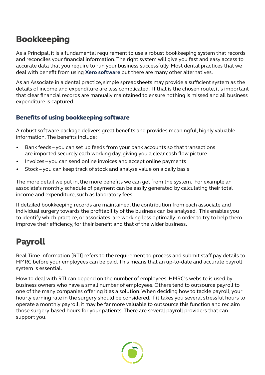## Bookkeeping

As a Principal, it is a fundamental requirement to use a robust bookkeeping system that records and reconciles your financial information. The right system will give you fast and easy access to accurate data that you require to run your business successfully. Most dental practices that we deal with benefit from using **[Xero software](http://www.xero.com/uk)** but there are many other alternatives.

As an Associate in a dental practice, simple spreadsheets may provide a sufficient system as the details of income and expenditure are less complicated. If that is the chosen route, it's important that clear financial records are manually maintained to ensure nothing is missed and all business expenditure is captured.

#### Benefits of using bookkeeping software

A robust software package delivers great benefits and provides meaningful, highly valuable information. The benefits include:

- Bank feeds you can set up feeds from your bank accounts so that transactions are imported securely each working day, giving you a clear cash flow picture
- Invoices you can send online invoices and accept online payments
- Stock you can keep track of stock and analyse value on a daily basis

The more detail we put in, the more benefits we can get from the system. For example an associate's monthly schedule of payment can be easily generated by calculating their total income and expenditure, such as laboratory fees.

If detailed bookkeeping records are maintained, the contribution from each associate and individual surgery towards the profitability of the business can be analysed. This enables you to identify which practice, or associates, are working less optimally in order to try to help them improve their efficiency, for their benefit and that of the wider business.

# Payroll

Real Time Information [RTI] refers to the requirement to process and submit staff pay details to HMRC before your employees can be paid. This means that an up-to-date and accurate payroll system is essential.

How to deal with RTI can depend on the number of employees. HMRC's website is used by business owners who have a small number of employees. Others tend to outsource payroll to one of the many companies offering it as a solution. When deciding how to tackle payroll, your hourly earning rate in the surgery should be considered. If it takes you several stressful hours to operate a monthly payroll, it may be far more valuable to outsource this function and reclaim those surgery-based hours for your patients. There are several payroll providers that can support you.